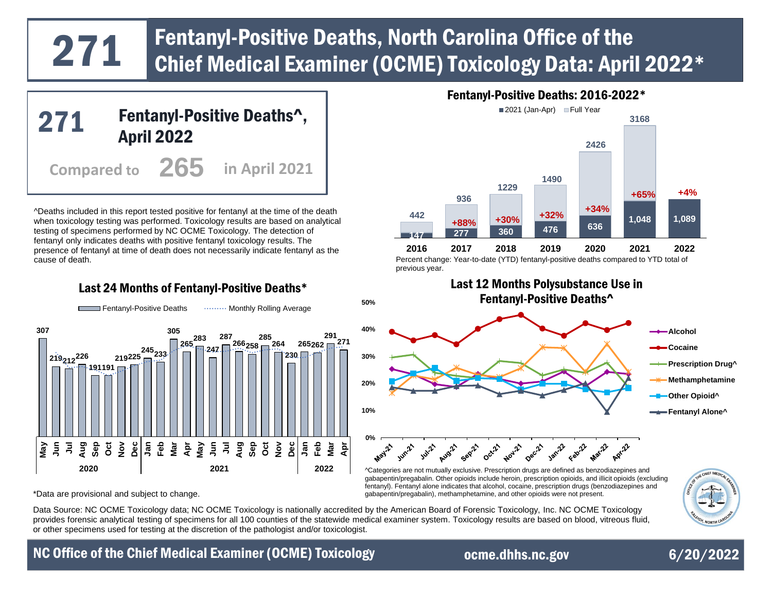# Fentanyl-Positive Deaths, North Carolina Office of the 2022\*<br>271 Chief Medical Examiner (OCME) Toxicology Data: April 2022\*



^Deaths included in this report tested positive for fentanyl at the time of the death when toxicology testing was performed. Toxicology results are based on analytical testing of specimens performed by NC OCME Toxicology. The detection of fentanyl only indicates deaths with positive fentanyl toxicology results. The presence of fentanyl at time of death does not necessarily indicate fentanyl as the cause of death.

## Last 24 Months of Fentanyl-Positive Deaths\*



## Fentanyl-Positive Deaths: 2016-2022\*



Percent change: Year-to-date (YTD) fentanyl-positive deaths compared to YTD total of previous year.

Last 12 Months Polysubstance Use in



^Categories are not mutually exclusive. Prescription drugs are defined as benzodiazepines and gabapentin/pregabalin. Other opioids include heroin, prescription opioids, and illicit opioids (excluding fentanyl). Fentanyl alone indicates that alcohol, cocaine, prescription drugs (benzodiazepines and \*Data are provisional and subject to change. gabapentin/pregabalin), methamphetamine, and other opioids were not present.

Data Source: NC OCME Toxicology data; NC OCME Toxicology is nationally accredited by the American Board of Forensic Toxicology, Inc. NC OCME Toxicology provides forensic analytical testing of specimens for all 100 counties of the statewide medical examiner system. Toxicology results are based on blood, vitreous fluid, or other specimens used for testing at the discretion of the pathologist and/or toxicologist.

# NC Office of the Chief Medical Examiner (OCME) Toxicology extending orme.dhhs.nc.gov 6/20/2022

[ocme.dhhs.nc.gov](https://www.ocme.dhhs.nc.gov/)